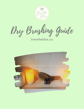

Dry Brushing Guide

breathebliss.ca

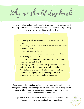Why we should dry brush

We brush our hair and our teeth (hopefully), why wouldn't we brush our skin? During my Ayurvedic Health training, they stressed the benefits of dry brushing... so here's why we should dry brush our skin..

- It naturally exfoliates the skin and helps shed dead skin cells.
- It encourages new cell renewal which results in smoother and brighter skin.
- It helps with ingrown hairs.
- It's to improves blood circulation and is great to do in the morning to help wake up.
- It increases lymphatic drainage. Many of these lymph vessels are beneath the skin.
- Brushing regularly helps stimulate lymph flow within the body and helps the body detoxify itself naturally.
- Dry skin brushing helps our skin to absorb nutrients by eliminating clogged pores and ridding of dirt, oils, environmental toxins etc... and it feels great too!

Good news is I do most of my self care time at home and in my bathroom... don't get me wrong, I love spa days, but I've incorporated dry brushing, scrubs, masks and baths apart of my routine... it's peaceful, cost efficient and beneficial to our bodies and minds.

To get started with dry brushing, all you need is a natural bristle brush. You can find these at many natural health food stores.

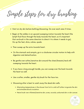Simple steps for dry brushing

- Start on dry skin before bathing/showering. Go over each area 5 times.
- Begin at the ankles in an upward sweeping motion towards the heart (the lymph fluid flows through the body towards the heart, so it's important that we brush in the same direction to direct it to where it needs to go). Go up the feet, shins, calves, quads.
- Then sweep up the arms towards heart.
- On the stomach and armpits, go in a clockwise circular motion to help with digestion and detoxification.
- Be gentle over softer/sensitive skin around the chest/breasts/neck still sweeping towards the heart.
- If you have a long enough handle, you can sweep over the back towards the heart as well.
- Use a softer, smaller, gentler dry brush for the face too.
- Showering after is best to wash away the dead skin cells.
	- Alternating temperatures in the shower from hot to cold will further invigorate the skin and stimulate blood circulation.
	- Never brush over inflamed/sensitive skin, sores, wounds, sunburned skin or skin cancer.